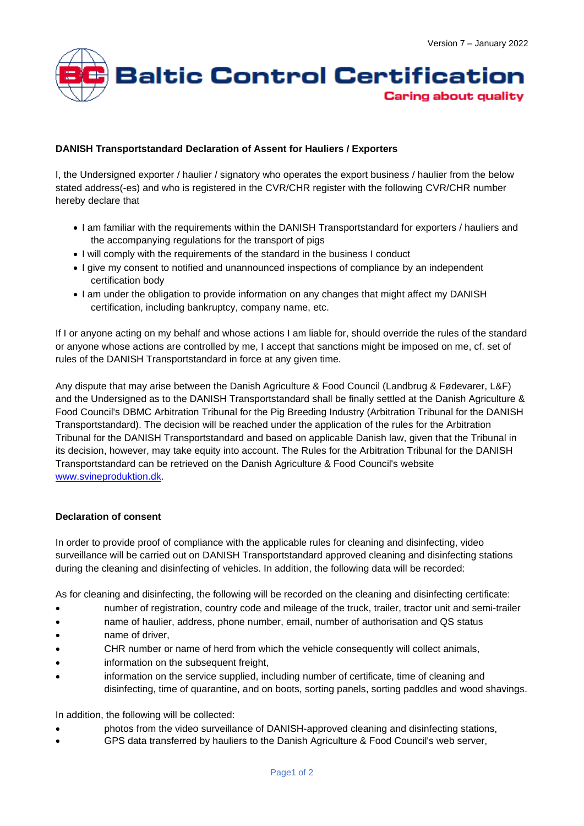

## **DANISH Transportstandard Declaration of Assent for Hauliers / Exporters**

I, the Undersigned exporter / haulier / signatory who operates the export business / haulier from the below stated address(-es) and who is registered in the CVR/CHR register with the following CVR/CHR number hereby declare that

- I am familiar with the requirements within the DANISH Transportstandard for exporters / hauliers and the accompanying regulations for the transport of pigs
- I will comply with the requirements of the standard in the business I conduct
- I give my consent to notified and unannounced inspections of compliance by an independent certification body
- I am under the obligation to provide information on any changes that might affect my DANISH certification, including bankruptcy, company name, etc.

If I or anyone acting on my behalf and whose actions I am liable for, should override the rules of the standard or anyone whose actions are controlled by me, I accept that sanctions might be imposed on me, cf. set of rules of the DANISH Transportstandard in force at any given time.

Any dispute that may arise between the Danish Agriculture & Food Council (Landbrug & Fødevarer, L&F) and the Undersigned as to the DANISH Transportstandard shall be finally settled at the Danish Agriculture & Food Council's DBMC Arbitration Tribunal for the Pig Breeding Industry (Arbitration Tribunal for the DANISH Transportstandard). The decision will be reached under the application of the rules for the Arbitration Tribunal for the DANISH Transportstandard and based on applicable Danish law, given that the Tribunal in its decision, however, may take equity into account. The Rules for the Arbitration Tribunal for the DANISH Transportstandard can be retrieved on the Danish Agriculture & Food Council's website [www.svineproduktion.dk.](http://www.svineproduktion.dk/)

## **Declaration of consent**

In order to provide proof of compliance with the applicable rules for cleaning and disinfecting, video surveillance will be carried out on DANISH Transportstandard approved cleaning and disinfecting stations during the cleaning and disinfecting of vehicles. In addition, the following data will be recorded:

As for cleaning and disinfecting, the following will be recorded on the cleaning and disinfecting certificate:

- number of registration, country code and mileage of the truck, trailer, tractor unit and semi-trailer
- name of haulier, address, phone number, email, number of authorisation and QS status
- name of driver,
- CHR number or name of herd from which the vehicle consequently will collect animals,
- information on the subsequent freight.
- information on the service supplied, including number of certificate, time of cleaning and disinfecting, time of quarantine, and on boots, sorting panels, sorting paddles and wood shavings.

In addition, the following will be collected:

- photos from the video surveillance of DANISH-approved cleaning and disinfecting stations,
- GPS data transferred by hauliers to the Danish Agriculture & Food Council's web server,